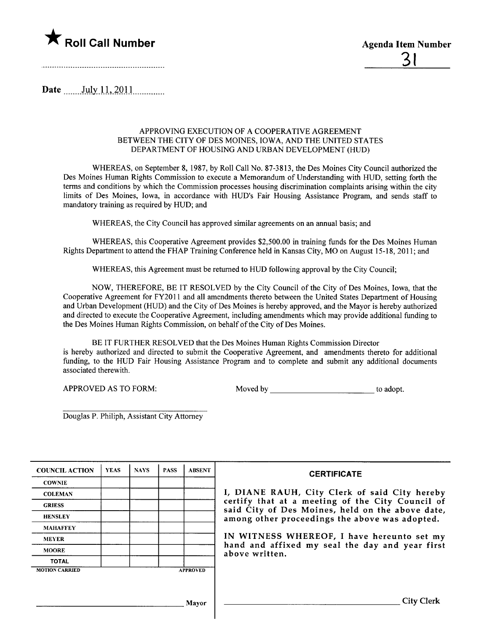

Date \_\_\_\_\_\_\_ July 11, 2011

### APPROVING EXECUTION OF A COOPERATIVE AGREEMENT BETWEEN THE CITY OF DES MOINES, IOWA, AND THE UNITED STATES DEPARTMENT OF HOUSING AND URBAN DEVELOPMENT (HUD)

WHEREAS, on September 8, 1987, by Roll Call No. 87-3813, the Des Moines City Council authorized the Des Moines Human Rights Commission to execute a Memorandum of Understanding with HUD, setting forth the terms and conditions by which the Commission processes housing discrimination complaints arising within the city limits of Des Moines, Iowa, in accordance with HUD's Fair Housing Assistance Program, and sends staff to mandatory training as required by HUD; and

WHEREAS, the City Council has approved similar agreements on an anual basis; and

WHEREAS, this Cooperative Agreement provides \$2,500.00 in training funds for the Des Moines Human Rights Department to attend the FHAP Training Conference held in Kansas City, MO on August 15-18,2011; and

WHEREAS, this Agreement must be retured to HUD following approval by the City Council;

NOW, THEREFORE, BE IT RESOLVED by the City Council of the City of Des Moines, Iowa, that the Cooperative Agreement for FY2011 and all amendments thereto between the United States Department of Housing and Urban Development (HUD) and the City of Des Moines is hereby approved, and the Mayor is hereby authorized and directed to execute the Cooperative Agreement, including amendments which may provide additional funding to the Des Moines Human Rights Commission, on behalf of the City of Des Moines.

BE IT FURTHER RESOLVED that the Des Moines Human Rights Commission Director is hereby authorized and directed to submit the Cooperative Agreement, and amendments thereto for additional funding, to the HUD Fair Housing Assistance Program and to complete and submit any additional documents associated therewith.

APPROVED AS TO FORM: Moved by to adopt.

Douglas P. Philiph, Assistant City Attorney

| <b>COUNCIL ACTION</b> | <b>YEAS</b> | <b>NAYS</b> | <b>PASS</b> | <b>ABSENT</b>   | <b>CERTIFICATE</b>                                                                                   |  |
|-----------------------|-------------|-------------|-------------|-----------------|------------------------------------------------------------------------------------------------------|--|
| <b>COWNIE</b>         |             |             |             |                 |                                                                                                      |  |
| <b>COLEMAN</b>        |             |             |             |                 | I, DIANE RAUH, City Clerk of said City hereby                                                        |  |
| <b>GRIESS</b>         |             |             |             |                 | certify that at a meeting of the City Council of<br>said City of Des Moines, held on the above date, |  |
| <b>HENSLEY</b>        |             |             |             |                 | among other proceedings the above was adopted.                                                       |  |
| <b>MAHAFFEY</b>       |             |             |             |                 |                                                                                                      |  |
| <b>MEYER</b>          |             |             |             |                 | IN WITNESS WHEREOF, I have hereunto set my                                                           |  |
| <b>MOORE</b>          |             |             |             |                 | hand and affixed my seal the day and year first<br>above written.                                    |  |
| <b>TOTAL</b>          |             |             |             |                 |                                                                                                      |  |
| <b>MOTION CARRIED</b> |             |             |             | <b>APPROVED</b> |                                                                                                      |  |
|                       |             |             |             |                 |                                                                                                      |  |
|                       |             |             |             |                 |                                                                                                      |  |
|                       |             |             |             | Mavor           |                                                                                                      |  |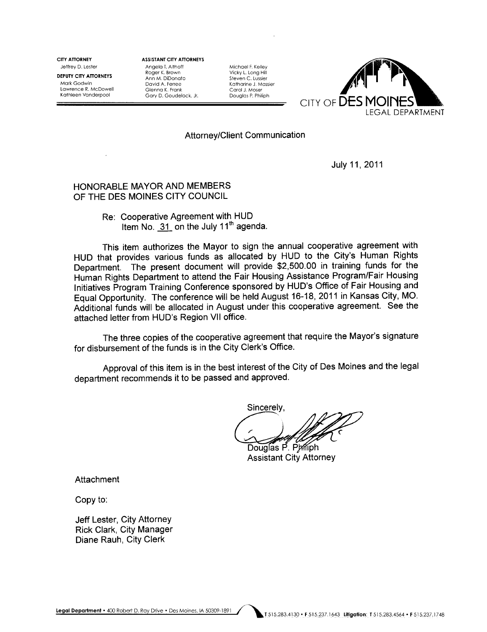CITY ATTORNEY Jeffrey D. Lester

DEPUTY CITY ATTORNEYS Mark Godwin Lawrence R. McDowell Kathleen Vanderpool

ASSISTANT CITY ATTORNEYS Angela T. Althoff Roger K. Brown Ann M. DiDonato David A. Ferree Glenna K. Frank Gary D. Goudelock. Jr.

Michael F. Kelley Vicky L. Long Hill Steven C. Lussier Katharine J. Mossier Carol J. Moser Douglas P. Philiph



## Attorney/Client Communication

July 11, 2011

# HONORABLE MAYOR AND MEMBERS OF THE DES MOINES CITY COUNCIL

Re: Cooperative Agreement with HUD Item No.  $31$  on the July  $11<sup>th</sup>$  agenda.

This item authorizes the Mayor to sign the annual cooperative agreement with HUD that provides various funds as allocated by HUD to the City's Human Rights Department. The present document will provide \$2,500.00 in training funds for the Human Rights Department to attend the Fair Housing Assistance Program/Fair Housing Initiatives Program Training Conference sponsored by HUD's Office of Fair Housing and Equal Opportunity. The conference will be held August 16-18, 2011 in Kansas City, MO. Additional funds will be allocated in August under this cooperative agreement. See the attached letter from HUD's Region VII office.

The three copies of the cooperative agreement that require the Mayor's signature for disbursement of the funds is in the City Clerk's Office.

Approval of this item is in the best interest of the City of Des Moines and the legal department recommends it to be passed and approved.

Sincerely.

Douglas P. Philiph

**Assistant City Attorney** 

Attachment

Copy to:

Jeff Lester, City Attorney Rick Clark, City Manager Diane Rauh, City Clerk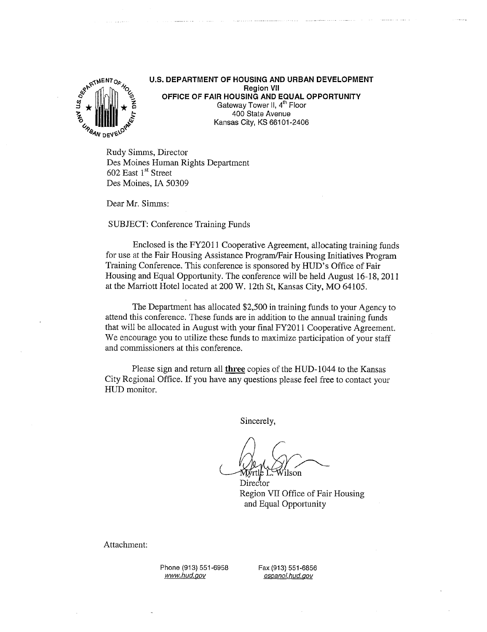

U.S. DEPARTMENT OF HOUSING AND URBAN DEVELOPMENT Region VII OFFICE OF FAIR HOUSING AND EQUAL OPPORTUNITY Gateway Tower II, 4<sup>th</sup> Floor 400 State Avenue Kansas City, KS 66101-2406

Rudy Simms, Director Des Moines Human Rights Department 602 East 1<sup>st</sup> Street Des Moines, IA 50309

Dear Mr. Simms:

SUBJECT: Conference Training Funds

Enclosed is the FY2011 Cooperative Agreement, allocating training funds for use at the Fair Housing Assistance Program/Fair Housing Initiatives Program Training Conference. This conference is sponsored by HUD's Office of Fair Housing and Equal Opportunity. The conference wil be held August 16-18,2011 at the Marriott Hotel located at 200 W. 12th St, Kansas City, MO 64105.

The Department has allocated \$2,500 in training funds to your Agency to attend this conference. These funds are in addition to the annual training funds that will be allocated in August with your final FY2011 Cooperative Agreement. We encourage you to utilze these funds to maximize participation of your staff and commissioners at this conference.

Please sign and return all three copies of the HUD-1044 to the Kansas City Regional Office. If you have any questions please feel free to contact your HUD monitor.

Sincerely,

/ilson rtle L.

Director Region VII Office of Fair Housing and Equal Opportunity

Attachment:

Phone (913) 551-6958 www.hud.gov

Fax (913) 551-6856 espanol.hud.gov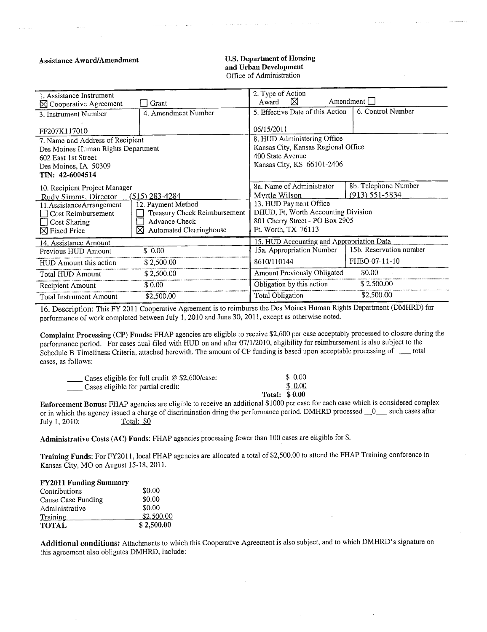#### **Assistance Award/Amendment**

#### **U.S. Department of Housing** and Urban Development Office of Administration

المحاف ومحافظ القائل والمحافظ

| 1. Assistance Instrument                           |                              | 2. Type of Action                         |                         |  |
|----------------------------------------------------|------------------------------|-------------------------------------------|-------------------------|--|
| $\boxtimes$ Cooperative Agreement                  | Grant                        | Amendment<br>⋈<br>Award                   |                         |  |
| 3. Instrument Number                               | 4. Amendment Number          | 5. Effective Date of this Action          | 6. Control Number       |  |
|                                                    |                              |                                           |                         |  |
| FF207K117010                                       |                              | 06/15/2011                                |                         |  |
| 7. Name and Address of Recipient                   |                              | 8. HUD Administering Office               |                         |  |
| Des Moines Human Rights Department                 |                              | Kansas City, Kansas Regional Office       |                         |  |
| 602 East 1st Street                                |                              | 400 State Avenue                          |                         |  |
| Des Moines, IA 50309                               |                              | Kansas City, KS 66101-2406                |                         |  |
| TIN: 42-6004514                                    |                              |                                           |                         |  |
| 10. Recipient Project Manager                      |                              | 8a. Name of Administrator                 | 8b. Telephone Number    |  |
| $(515)$ 283-4284<br>Rudy Simms, Director           |                              | Myrtle Wilson                             | $(913) 551 - 5834$      |  |
| 11. Assistance Arrangement                         | 12. Payment Method           | 13. HUD Payment Office                    |                         |  |
| Treasury Check Reimbursement<br>Cost Reimbursement |                              | DHUD, Ft, Worth Accounting Division       |                         |  |
| <b>Advance Check</b><br>Cost Sharing               |                              | 801 Cherry Street - PO Box 2905           |                         |  |
| $\boxtimes$ Fixed Price                            | Automated Clearinghouse<br>⋈ | Ft. Worth, TX 76113                       |                         |  |
| 14. Assistance Amount                              |                              | 15. HUD Accounting and Appropriation Data |                         |  |
| Previous HUD Amount                                | \$0.00                       | 15a. Appropriation Number                 | 15b. Reservation number |  |
| HUD Amount this action                             | \$2,500.00                   | 8610/110144                               | FHEO-07-11-10           |  |
| \$2,500.00<br>Total HUD Amount                     |                              | \$0.00<br>Amount Previously Obligated     |                         |  |
| Recipient Amount                                   | \$0.00                       | Obligation by this action                 | \$2,500,00              |  |
| \$2,500.00<br>Total Instrument Amount              |                              | \$2,500.00<br>Total Obligation            |                         |  |

16. Description: This FY 2011 Cooperative Agreement is to reimburse the Des Moines Human Rights Department (DMHRD) for performance of work completed between July 1, 2010 and June 30, 2011, except as otherwise noted.

Complaint Processing (CP) Funds: FHAP agencies are eligible to receive \$2,600 per case acceptably processed to closure during the performance period. For cases dual-filed with HUD on and after 07/1/2010, eligibility for reimbursement is also subject to the Schedule B Timeliness Criteria, attached herewith. The amount of CP funding is based upon acceptable processing of \_\_ total cases, as follows:

| Cases eligible for full credit $@$ \$2,600/case: |               | \$ 0.00 |
|--------------------------------------------------|---------------|---------|
| Cases eligible for partial credit:               |               | \$ 0.00 |
|                                                  | Total: \$0.00 |         |

Enforcement Bonus: FHAP agencies are eligible to receive an additional \$1000 per case for each case which is considered complex or in which the agency issued a charge of discrimination dring the performance period. DMHRD processed \_0\_\_ such cases after Total: \$0 July 1, 2010:

Administrative Costs (AC) Funds: FHAP agencies processing fewer than 100 cases are eligible for \$.

Training Funds: For FY2011, local FHAP agencies are allocated a total of \$2,500.00 to attend the FHAP Training conference in Kansas City, MO on August 15-18, 2011.

| <b>FY2011 Funding Summary</b> |            |
|-------------------------------|------------|
| Contributions                 | \$0.00     |
| Cause Case Funding            | \$0.00     |
| Administrative                | \$0.00     |
| Training                      | \$2,500.00 |
| <b>TOTAL</b>                  | \$2,500.00 |

Additional conditions: Attachments to which this Cooperative Agreement is also subject, and to which DMHRD's signature on this agreement also obligates DMHRD, include: